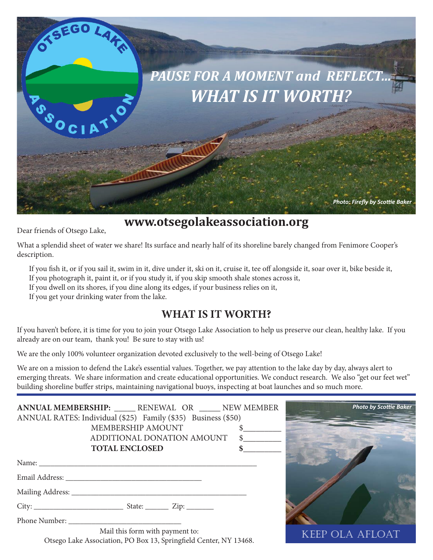

# **www.otsegolakeassociation.org**

Dear friends of Otsego Lake,

What a splendid sheet of water we share! Its surface and nearly half of its shoreline barely changed from Fenimore Cooper's description.

If you fish it, or if you sail it, swim in it, dive under it, ski on it, cruise it, tee off alongside it, soar over it, bike beside it, If you photograph it, paint it, or if you study it, if you skip smooth shale stones across it,

If you dwell on its shores, if you dine along its edges, if your business relies on it,

If you get your drinking water from the lake.

## **WHAT IS IT WORTH?**

If you haven't before, it is time for you to join your Otsego Lake Association to help us preserve our clean, healthy lake. If you already are on our team, thank you! Be sure to stay with us!

We are the only 100% volunteer organization devoted exclusively to the well-being of Otsego Lake!

We are on a mission to defend the Lake's essential values. Together, we pay attention to the lake day by day, always alert to emerging threats. We share information and create educational opportunities. We conduct research. We also "get our feet wet" building shoreline buffer strips, maintaining navigational buoys, inspecting at boat launches and so much more.

| ANNUAL MEMBERSHIP: RENEWAL OR NEW MEMBER                      |  |
|---------------------------------------------------------------|--|
| ANNUAL RATES: Individual (\$25) Family (\$35) Business (\$50) |  |
| MEMBERSHIP AMOUNT \$                                          |  |
| ADDITIONAL DONATION AMOUNT \$                                 |  |
| <b>TOTAL ENCLOSED</b>                                         |  |
|                                                               |  |
|                                                               |  |
|                                                               |  |
|                                                               |  |
|                                                               |  |
| Mail this form with payment to.                               |  |



Mail this form with payment to: Otsego Lake Association, PO Box 13, Springfield Center, NY 13468.

KEEP OLA AFLOAT